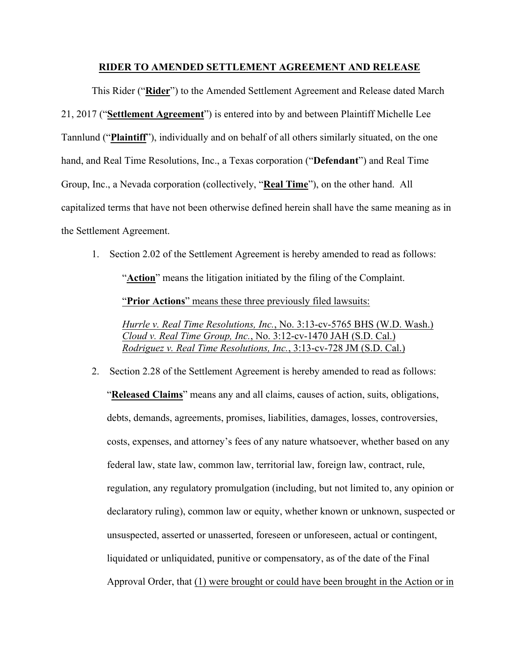## **RIDER TO AMENDED SETTLEMENT AGREEMENT AND RELEASE**

This Rider ("**Rider**") to the Amended Settlement Agreement and Release dated March 21, 2017 ("**Settlement Agreement**") is entered into by and between Plaintiff Michelle Lee Tannlund ("**Plaintiff**"), individually and on behalf of all others similarly situated, on the one hand, and Real Time Resolutions, Inc., a Texas corporation ("**Defendant**") and Real Time Group, Inc., a Nevada corporation (collectively, "**Real Time**"), on the other hand. All capitalized terms that have not been otherwise defined herein shall have the same meaning as in the Settlement Agreement.

1. Section 2.02 of the Settlement Agreement is hereby amended to read as follows: "**Action**" means the litigation initiated by the filing of the Complaint. "**Prior Actions**" means these three previously filed lawsuits:

*Hurrle v. Real Time Resolutions, Inc.*, No. 3:13-cv-5765 BHS (W.D. Wash.) *Cloud v. Real Time Group, Inc.*, No. 3:12-cv-1470 JAH (S.D. Cal.) *Rodriguez v. Real Time Resolutions, Inc.*, 3:13-cv-728 JM (S.D. Cal.)

2. Section 2.28 of the Settlement Agreement is hereby amended to read as follows: "**Released Claims**" means any and all claims, causes of action, suits, obligations, debts, demands, agreements, promises, liabilities, damages, losses, controversies, costs, expenses, and attorney's fees of any nature whatsoever, whether based on any federal law, state law, common law, territorial law, foreign law, contract, rule, regulation, any regulatory promulgation (including, but not limited to, any opinion or declaratory ruling), common law or equity, whether known or unknown, suspected or unsuspected, asserted or unasserted, foreseen or unforeseen, actual or contingent, liquidated or unliquidated, punitive or compensatory, as of the date of the Final Approval Order, that (1) were brought or could have been brought in the Action or in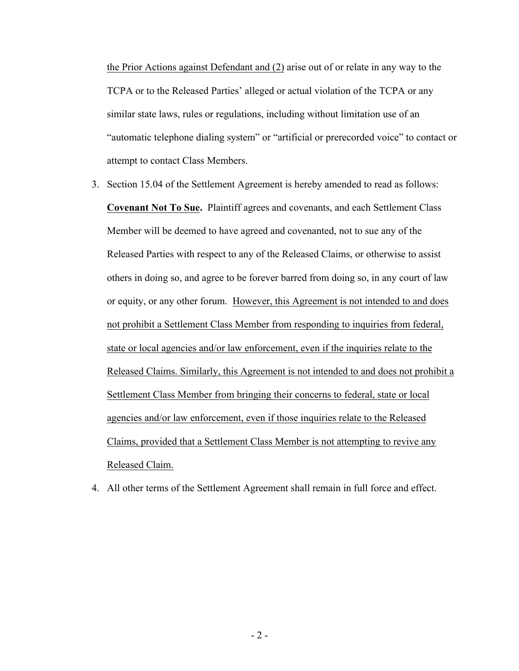the Prior Actions against Defendant and (2) arise out of or relate in any way to the TCPA or to the Released Parties' alleged or actual violation of the TCPA or any similar state laws, rules or regulations, including without limitation use of an "automatic telephone dialing system" or "artificial or prerecorded voice" to contact or attempt to contact Class Members.

- 3. Section 15.04 of the Settlement Agreement is hereby amended to read as follows: **Covenant Not To Sue.** Plaintiff agrees and covenants, and each Settlement Class Member will be deemed to have agreed and covenanted, not to sue any of the Released Parties with respect to any of the Released Claims, or otherwise to assist others in doing so, and agree to be forever barred from doing so, in any court of law or equity, or any other forum. However, this Agreement is not intended to and does not prohibit a Settlement Class Member from responding to inquiries from federal, state or local agencies and/or law enforcement, even if the inquiries relate to the Released Claims. Similarly, this Agreement is not intended to and does not prohibit a Settlement Class Member from bringing their concerns to federal, state or local agencies and/or law enforcement, even if those inquiries relate to the Released Claims, provided that a Settlement Class Member is not attempting to revive any Released Claim.
- 4. All other terms of the Settlement Agreement shall remain in full force and effect.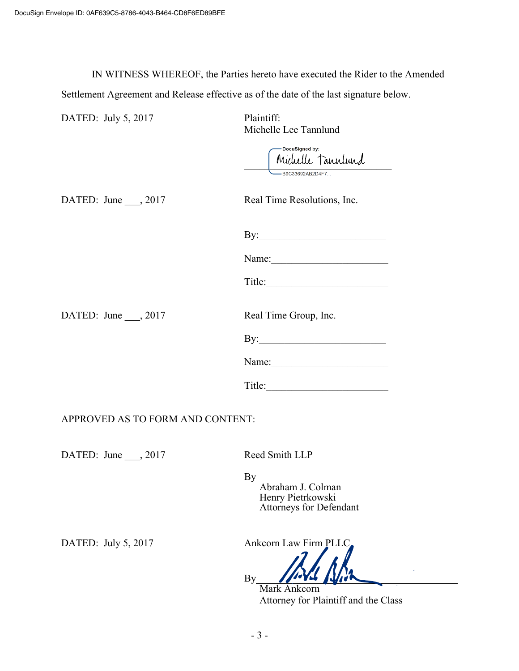IN WITNESS WHEREOF, the Parties hereto have executed the Rider to the Amended Settlement Agreement and Release effective as of the date of the last signature below.

| DATED: July 5, 2017              | Plaintiff:<br>Michelle Lee Tannlund                                                                                                                                                                                                                                                                                                                                                                                     |
|----------------------------------|-------------------------------------------------------------------------------------------------------------------------------------------------------------------------------------------------------------------------------------------------------------------------------------------------------------------------------------------------------------------------------------------------------------------------|
|                                  | -DocuSigned by:<br>Michelle Tannlund<br>B9C33692AB2D4F7                                                                                                                                                                                                                                                                                                                                                                 |
| DATED: June $\_\_$ , 2017        | Real Time Resolutions, Inc.                                                                                                                                                                                                                                                                                                                                                                                             |
|                                  |                                                                                                                                                                                                                                                                                                                                                                                                                         |
|                                  | Name: $\frac{1}{\sqrt{1-\frac{1}{2}}}\left\{ \frac{1}{2}, \frac{1}{2}, \frac{1}{2}, \frac{1}{2}, \frac{1}{2}, \frac{1}{2}, \frac{1}{2}, \frac{1}{2}, \frac{1}{2}, \frac{1}{2}, \frac{1}{2}, \frac{1}{2}, \frac{1}{2}, \frac{1}{2}, \frac{1}{2}, \frac{1}{2}, \frac{1}{2}, \frac{1}{2}, \frac{1}{2}, \frac{1}{2}, \frac{1}{2}, \frac{1}{2}, \frac{1}{2}, \frac{1}{2}, \frac{1}{2}, \frac{1}{2}, \frac{1}{2}, \frac{1}{2$ |
|                                  |                                                                                                                                                                                                                                                                                                                                                                                                                         |
| DATED: June , 2017               | Real Time Group, Inc.                                                                                                                                                                                                                                                                                                                                                                                                   |
|                                  |                                                                                                                                                                                                                                                                                                                                                                                                                         |
|                                  | Name:                                                                                                                                                                                                                                                                                                                                                                                                                   |
|                                  | Title:                                                                                                                                                                                                                                                                                                                                                                                                                  |
| APPROVED AS TO FORM AND CONTENT: |                                                                                                                                                                                                                                                                                                                                                                                                                         |
| DATED: June $\_\_$ , 2017        | Reed Smith LLP                                                                                                                                                                                                                                                                                                                                                                                                          |
|                                  | By Abraham J. Colman<br>Henry Pietrkowski<br><b>Attorneys for Defendant</b>                                                                                                                                                                                                                                                                                                                                             |
| DATED: July 5, 2017              | Ankcorn Law Firm PLLC                                                                                                                                                                                                                                                                                                                                                                                                   |
|                                  | By                                                                                                                                                                                                                                                                                                                                                                                                                      |

Mark Ankcorn Attorney for Plaintiff and the Class

 $\mathcal{L}_{\mathcal{C}}$